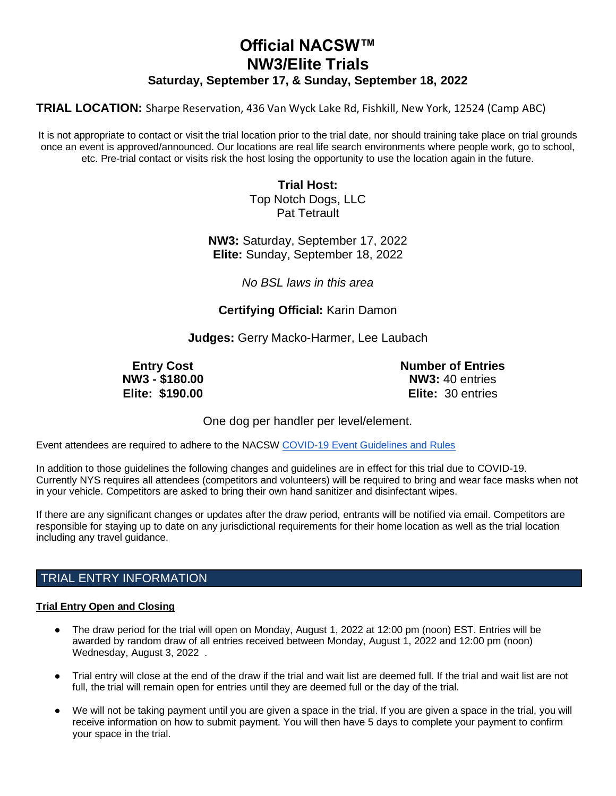# **Official NACSW™ NW3/Elite Trials Saturday, September 17, & Sunday, September 18, 2022**

**TRIAL LOCATION:** Sharpe Reservation, 436 Van Wyck Lake Rd, Fishkill, New York, 12524 (Camp ABC)

It is not appropriate to contact or visit the trial location prior to the trial date, nor should training take place on trial grounds once an event is approved/announced. Our locations are real life search environments where people work, go to school, etc. Pre-trial contact or visits risk the host losing the opportunity to use the location again in the future.

> **Trial Host:** Top Notch Dogs, LLC Pat Tetrault

**NW3:** Saturday, September 17, 2022 **Elite:** Sunday, September 18, 2022

*No BSL laws in this area*

**Certifying Official:** Karin Damon

**Judges:** Gerry Macko-Harmer, Lee Laubach

**Entry Cost NW3 - \$180.00 Elite: \$190.00** **Number of Entries NW3:** 40 entries **Elite:** 30 entries

One dog per handler per level/element.

Event attendees are required to adhere to the NACSW [COVID-19 Event Guidelines and Rules](https://drive.google.com/open?id=1pMMICXeMDJV2iFxAFOuPAMXEBoRmaik0qzSE4tiZuSI)

In addition to those guidelines the following changes and guidelines are in effect for this trial due to COVID-19. Currently NYS requires all attendees (competitors and volunteers) will be required to bring and wear face masks when not in your vehicle. Competitors are asked to bring their own hand sanitizer and disinfectant wipes.

If there are any significant changes or updates after the draw period, entrants will be notified via email. Competitors are responsible for staying up to date on any jurisdictional requirements for their home location as well as the trial location including any travel guidance.

# TRIAL ENTRY INFORMATION

## **Trial Entry Open and Closing**

- The draw period for the trial will open on Monday, August 1, 2022 at 12:00 pm (noon) EST. Entries will be awarded by random draw of all entries received between Monday, August 1, 2022 and 12:00 pm (noon) Wednesday, August 3, 2022 .
- Trial entry will close at the end of the draw if the trial and wait list are deemed full. If the trial and wait list are not full, the trial will remain open for entries until they are deemed full or the day of the trial.
- We will not be taking payment until you are given a space in the trial. If you are given a space in the trial, you will receive information on how to submit payment. You will then have 5 days to complete your payment to confirm your space in the trial.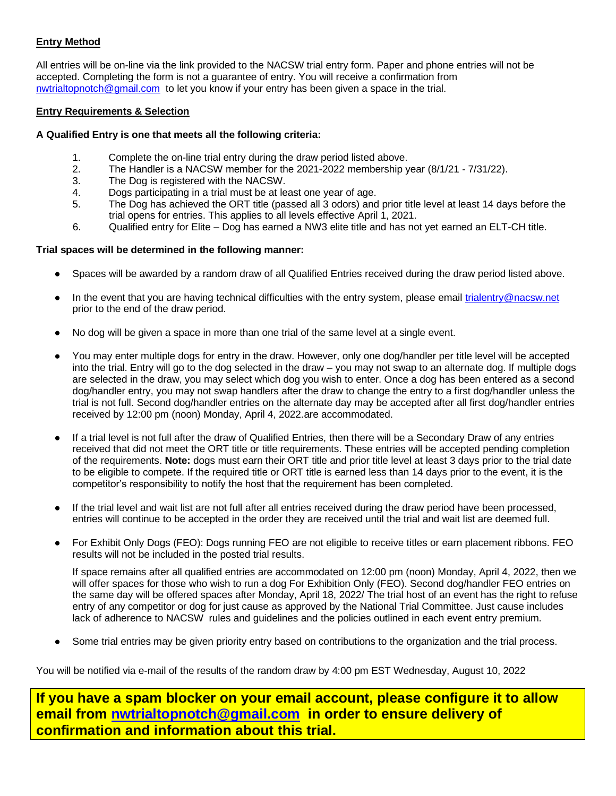## **Entry Method**

All entries will be on-line via the link provided to the NACSW trial entry form. Paper and phone entries will not be accepted. Completing the form is not a guarantee of entry. You will receive a confirmation from [nwtrialtopnotch@gmail.com](mailto:nwtrialtopnotch@gmail.com) to let you know if your entry has been given a space in the trial.

## **Entry Requirements & Selection**

## **A Qualified Entry is one that meets all the following criteria:**

- 1. Complete the on-line trial entry during the draw period listed above.
- 2. The Handler is a NACSW member for the 2021-2022 membership year (8/1/21 7/31/22).
- 3. The Dog is registered with the NACSW.
- 4. Dogs participating in a trial must be at least one year of age.
- 5. The Dog has achieved the ORT title (passed all 3 odors) and prior title level at least 14 days before the trial opens for entries. This applies to all levels effective April 1, 2021.
- 6. Qualified entry for Elite Dog has earned a NW3 elite title and has not yet earned an ELT-CH title.

## **Trial spaces will be determined in the following manner:**

- Spaces will be awarded by a random draw of all Qualified Entries received during the draw period listed above.
- In the event that you are having technical difficulties with the entry system, please email [trialentry@nacsw.net](mailto:trialentry@nacsw.net) prior to the end of the draw period.
- No dog will be given a space in more than one trial of the same level at a single event.
- You may enter multiple dogs for entry in the draw. However, only one dog/handler per title level will be accepted into the trial. Entry will go to the dog selected in the draw – you may not swap to an alternate dog. If multiple dogs are selected in the draw, you may select which dog you wish to enter. Once a dog has been entered as a second dog/handler entry, you may not swap handlers after the draw to change the entry to a first dog/handler unless the trial is not full. Second dog/handler entries on the alternate day may be accepted after all first dog/handler entries received by 12:00 pm (noon) Monday, April 4, 2022.are accommodated.
- If a trial level is not full after the draw of Qualified Entries, then there will be a Secondary Draw of any entries received that did not meet the ORT title or title requirements. These entries will be accepted pending completion of the requirements. **Note:** dogs must earn their ORT title and prior title level at least 3 days prior to the trial date to be eligible to compete. If the required title or ORT title is earned less than 14 days prior to the event, it is the competitor's responsibility to notify the host that the requirement has been completed.
- If the trial level and wait list are not full after all entries received during the draw period have been processed, entries will continue to be accepted in the order they are received until the trial and wait list are deemed full.
- For Exhibit Only Dogs (FEO): Dogs running FEO are not eligible to receive titles or earn placement ribbons. FEO results will not be included in the posted trial results.

If space remains after all qualified entries are accommodated on 12:00 pm (noon) Monday, April 4, 2022, then we will offer spaces for those who wish to run a dog For Exhibition Only (FEO). Second dog/handler FEO entries on the same day will be offered spaces after Monday, April 18, 2022/ The trial host of an event has the right to refuse entry of any competitor or dog for just cause as approved by the National Trial Committee. Just cause includes lack of adherence to NACSW rules and guidelines and the policies outlined in each event entry premium.

Some trial entries may be given priority entry based on contributions to the organization and the trial process.

You will be notified via e-mail of the results of the random draw by 4:00 pm EST Wednesday, August 10, 2022

**If you have a spam blocker on your email account, please configure it to allow email from [nwtrialtopnotch@gmail.com](mailto:nwtrialtopnotch@gmail.com) in order to ensure delivery of confirmation and information about this trial.**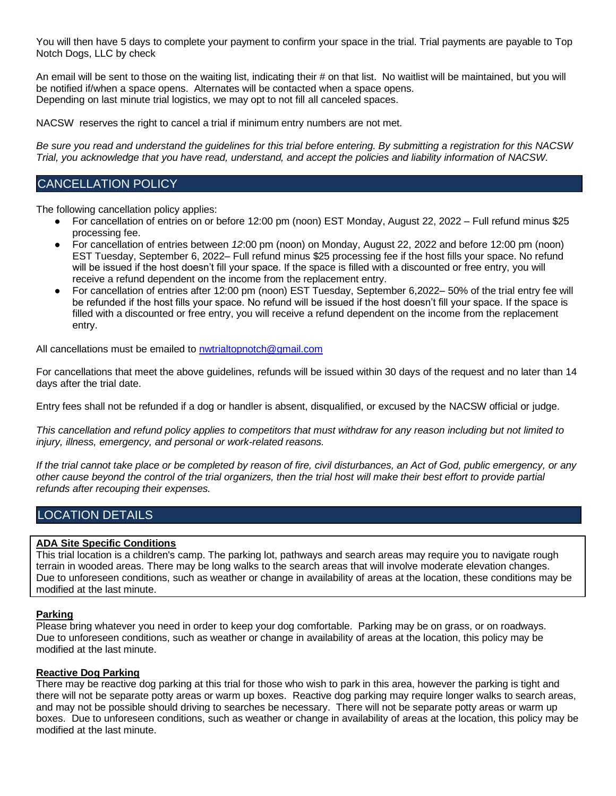You will then have 5 days to complete your payment to confirm your space in the trial. Trial payments are payable to Top Notch Dogs, LLC by check

An email will be sent to those on the waiting list, indicating their # on that list. No waitlist will be maintained, but you will be notified if/when a space opens. Alternates will be contacted when a space opens. Depending on last minute trial logistics, we may opt to not fill all canceled spaces.

NACSW reserves the right to cancel a trial if minimum entry numbers are not met.

*Be sure you read and understand the guidelines for this trial before entering. By submitting a registration for this NACSW Trial, you acknowledge that you have read, understand, and accept the policies and liability information of NACSW.*

## CANCELLATION POLICY

The following cancellation policy applies:

- For cancellation of entries on or before 12:00 pm (noon) EST Monday, August 22, 2022 Full refund minus \$25 processing fee.
- For cancellation of entries between *12*:00 pm (noon) on Monday, August 22, 2022 and before 12:00 pm (noon) EST Tuesday, September 6, 2022– Full refund minus \$25 processing fee if the host fills your space. No refund will be issued if the host doesn't fill your space. If the space is filled with a discounted or free entry, you will receive a refund dependent on the income from the replacement entry.
- For cancellation of entries after 12:00 pm (noon) EST Tuesday, September 6,2022– 50% of the trial entry fee will be refunded if the host fills your space. No refund will be issued if the host doesn't fill your space. If the space is filled with a discounted or free entry, you will receive a refund dependent on the income from the replacement entry.

All cancellations must be emailed to nwtrialtopnotch@gmail.com

For cancellations that meet the above guidelines, refunds will be issued within 30 days of the request and no later than 14 days after the trial date.

Entry fees shall not be refunded if a dog or handler is absent, disqualified, or excused by the NACSW official or judge.

*This cancellation and refund policy applies to competitors that must withdraw for any reason including but not limited to injury, illness, emergency, and personal or work-related reasons.*

*If the trial cannot take place or be completed by reason of fire, civil disturbances, an Act of God, public emergency, or any other cause beyond the control of the trial organizers, then the trial host will make their best effort to provide partial refunds after recouping their expenses.*

# LOCATION DETAILS

## **ADA Site Specific Conditions**

This trial location is a children's camp. The parking lot, pathways and search areas may require you to navigate rough terrain in wooded areas. There may be long walks to the search areas that will involve moderate elevation changes. Due to unforeseen conditions, such as weather or change in availability of areas at the location, these conditions may be modified at the last minute.

#### **Parking**

Please bring whatever you need in order to keep your dog comfortable. Parking may be on grass, or on roadways. Due to unforeseen conditions, such as weather or change in availability of areas at the location, this policy may be modified at the last minute.

#### **Reactive Dog Parking**

There may be reactive dog parking at this trial for those who wish to park in this area, however the parking is tight and there will not be separate potty areas or warm up boxes. Reactive dog parking may require longer walks to search areas, and may not be possible should driving to searches be necessary. There will not be separate potty areas or warm up boxes. Due to unforeseen conditions, such as weather or change in availability of areas at the location, this policy may be modified at the last minute.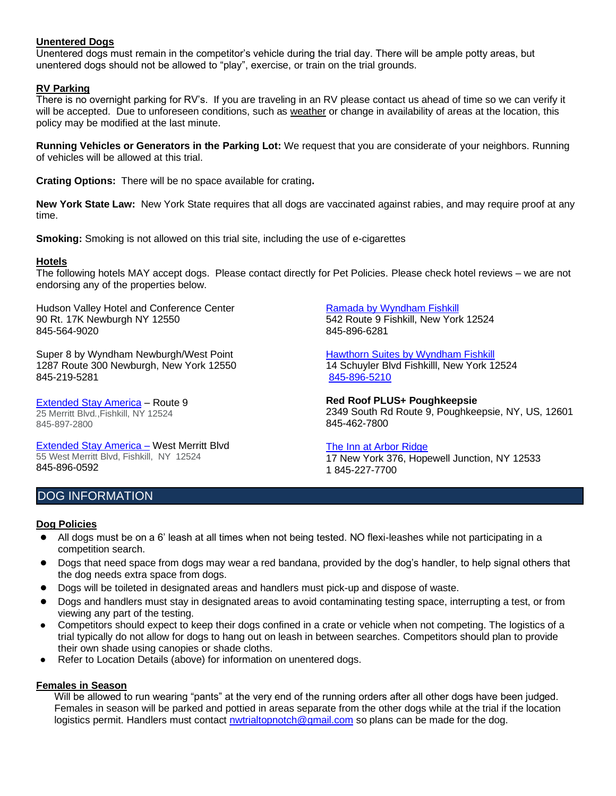## **Unentered Dogs**

Unentered dogs must remain in the competitor's vehicle during the trial day. There will be ample potty areas, but unentered dogs should not be allowed to "play", exercise, or train on the trial grounds.

## **RV Parking**

There is no overnight parking for RV's. If you are traveling in an RV please contact us ahead of time so we can verify it will be accepted. Due to unforeseen conditions, such as weather or change in availability of areas at the location, this policy may be modified at the last minute.

**Running Vehicles or Generators in the Parking Lot:** We request that you are considerate of your neighbors. Running of vehicles will be allowed at this trial.

**Crating Options:** There will be no space available for crating**.**

**New York State Law:** New York State requires that all dogs are vaccinated against rabies, and may require proof at any time.

**Smoking:** Smoking is not allowed on this trial site, including the use of e-cigarettes

## **Hotels**

The following hotels MAY accept dogs. Please contact directly for Pet Policies. Please check hotel reviews – we are not endorsing any of the properties below.

Hudson Valley Hotel and Conference Center 90 Rt. 17K Newburgh NY 12550 845-564-9020

Super 8 by Wyndham Newburgh/West Point 1287 Route 300 Newburgh, New York 12550 845-219-5281

Extended Stay America – Route 9 25 Merritt Blvd.,Fishkill, NY 12524 845-897-2800

Extended Stay America – West Merritt Blvd 55 West Merritt Blvd, Fishkill, NY 12524 845-896-0592

Ramada by Wyndham Fishkill 542 Route 9 Fishkill, New York 12524 845-896-6281

Hawthorn Suites by Wyndham Fishkill 14 Schuyler Blvd Fishkilll, New York 12524 845-896-5210

**Red Roof PLUS+ Poughkeepsie** 2349 South Rd Route 9, Poughkeepsie, NY, US, 12601 845-462-7800

The Inn at Arbor Ridge 17 New York 376, Hopewell Junction, NY 12533 1 845-227-7700

# DOG INFORMATION

#### **Dog Policies**

- All dogs must be on a 6' leash at all times when not being tested. NO flexi-leashes while not participating in a competition search.
- Dogs that need space from dogs may wear a red bandana, provided by the dog's handler, to help signal others that the dog needs extra space from dogs.
- Dogs will be toileted in designated areas and handlers must pick-up and dispose of waste.
- Dogs and handlers must stay in designated areas to avoid contaminating testing space, interrupting a test, or from viewing any part of the testing.
- Competitors should expect to keep their dogs confined in a crate or vehicle when not competing. The logistics of a trial typically do not allow for dogs to hang out on leash in between searches. Competitors should plan to provide their own shade using canopies or shade cloths.
- Refer to Location Details (above) for information on unentered dogs.

#### **Females in Season**

Will be allowed to run wearing "pants" at the very end of the running orders after all other dogs have been judged. Females in season will be parked and pottied in areas separate from the other dogs while at the trial if the location logistics permit. Handlers must contact nwtrialtopnotch@gmail.com so plans can be made for the dog.